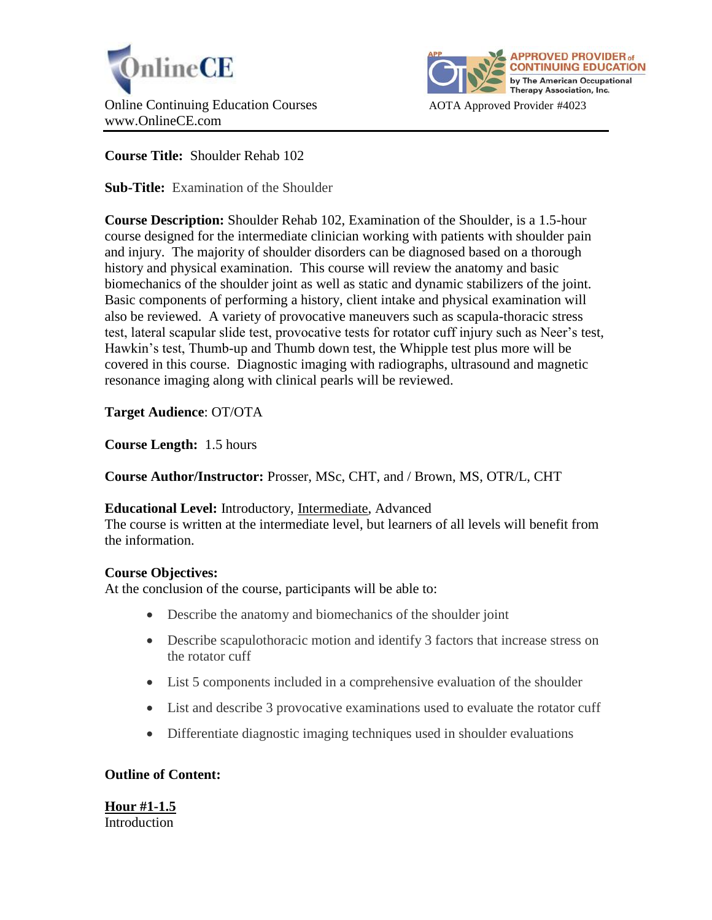



**Course Title:** Shoulder Rehab 102

**Sub-Title:** Examination of the Shoulder

**Course Description:** Shoulder Rehab 102, Examination of the Shoulder, is a 1.5-hour course designed for the intermediate clinician working with patients with shoulder pain and injury. The majority of shoulder disorders can be diagnosed based on a thorough history and physical examination. This course will review the anatomy and basic biomechanics of the shoulder joint as well as static and dynamic stabilizers of the joint. Basic components of performing a history, client intake and physical examination will also be reviewed. A variety of provocative maneuvers such as scapula-thoracic stress test, lateral scapular slide test, provocative tests for rotator cuff injury such as Neer's test, Hawkin's test, Thumb-up and Thumb down test, the Whipple test plus more will be covered in this course. Diagnostic imaging with radiographs, ultrasound and magnetic resonance imaging along with clinical pearls will be reviewed.

# **Target Audience**: OT/OTA

**Course Length:** 1.5 hours

**Course Author/Instructor:** Prosser, MSc, CHT, and / Brown, MS, OTR/L, CHT

### **Educational Level:** Introductory, Intermediate, Advanced

The course is written at the intermediate level, but learners of all levels will benefit from the information.

### **Course Objectives:**

At the conclusion of the course, participants will be able to:

- Describe the anatomy and biomechanics of the shoulder joint
- Describe scapulothoracic motion and identify 3 factors that increase stress on the rotator cuff
- List 5 components included in a comprehensive evaluation of the shoulder
- List and describe 3 provocative examinations used to evaluate the rotator cuff
- Differentiate diagnostic imaging techniques used in shoulder evaluations

### **Outline of Content:**

**Hour #1-1.5 Introduction**